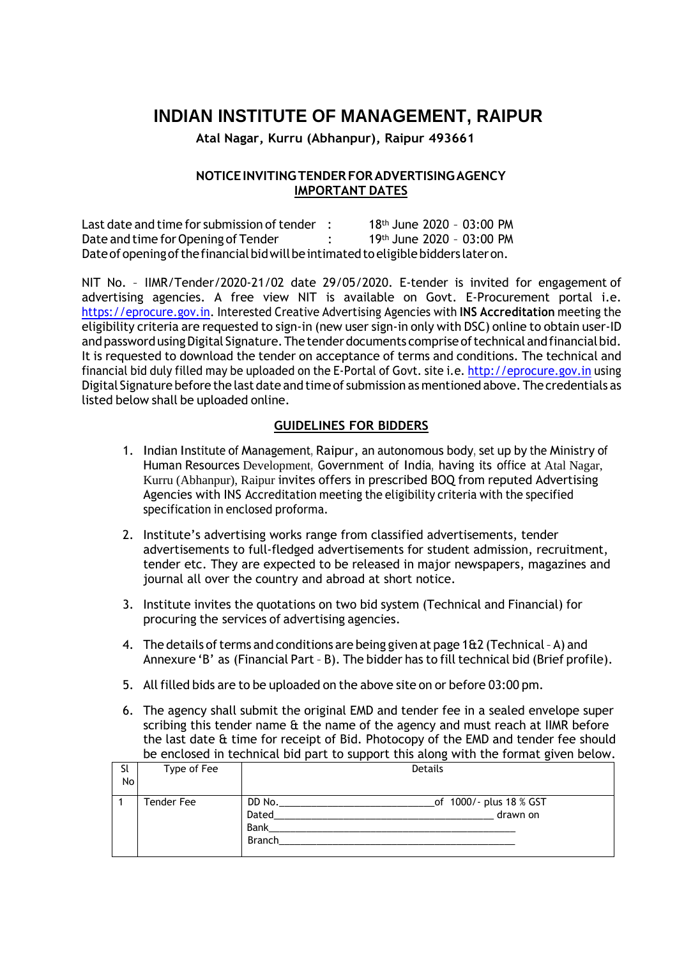# **INDIAN INSTITUTE OF MANAGEMENT, RAIPUR**

**Atal Nagar, Kurru (Abhanpur), Raipur 493661**

## **NOTICEINVITINGTENDERFORADVERTISINGAGENCY IMPORTANT DATES**

Last date and time for submission of tender  $\therefore$  18<sup>th</sup> June 2020 - 03:00 PM Date and time for Opening of Tender : 19th June 2020 - 03:00 PM Date of opening of the financial bid will be intimated to eligible bidders later on.

NIT No. – IIMR/Tender/2020-21/02 date 29/05/2020. E-tender is invited for engagement of advertising agencies. A free view NIT is available on Govt. E-Procurement portal i.e. https://eprocure.gov.in. Interested Creative Advertising Agencies with **INS Accreditation** meeting the eligibility criteria are requested to sign-in (new user sign-in only with DSC) online to obtain user-ID and password using Digital Signature. The tender documents comprise of technical and financial bid. It is requested to download the tender on acceptance of terms and conditions. The technical and financial bid duly filled may be uploaded on the E-Portal of Govt. site i.e. [http://eprocure.gov.in](http://eprocure.gov.in/) using Digital Signature before the last date and time of submission as mentioned above. The credentials as listed below shall be uploaded online.

## **GUIDELINES FOR BIDDERS**

- 1. Indian Institute of Management, Raipur, an autonomous body, set up by the Ministry of Human Resources Development, Government of India, having its office at Atal Nagar, Kurru (Abhanpur), Raipur invites offers in prescribed BOQ from reputed Advertising Agencies with INS Accreditation meeting the eligibility criteria with the specified specification in enclosed proforma.
- 2. Institute's advertising works range from classified advertisements, tender advertisements to full-fledged advertisements for student admission, recruitment, tender etc. They are expected to be released in major newspapers, magazines and journal all over the country and abroad at short notice.
- 3. Institute invites the quotations on two bid system (Technical and Financial) for procuring the services of advertising agencies.
- 4. The details of terms and conditions are being given at page  $162$  (Technical A) and Annexure 'B' as (Financial Part - B). The bidder has to fill technical bid (Brief profile).
- 5. All filled bids are to be uploaded on the above site on or before 03:00 pm.
- 6. The agency shall submit the original EMD and tender fee in a sealed envelope super scribing this tender name & the name of the agency and must reach at IIMR before the last date & time for receipt of Bid. Photocopy of the EMD and tender fee should be enclosed in technical bid part to support this along with the format given below.

|    | <u>as support and ansignment and recommending some service</u> |                                    |  |  |  |  |  |
|----|----------------------------------------------------------------|------------------------------------|--|--|--|--|--|
| Sl | Type of Fee                                                    | Details                            |  |  |  |  |  |
| No |                                                                |                                    |  |  |  |  |  |
|    |                                                                |                                    |  |  |  |  |  |
|    | Tender Fee                                                     | _of 1000/- plus 18 % GST<br>DD No. |  |  |  |  |  |
|    |                                                                | Dated<br>drawn on                  |  |  |  |  |  |
|    |                                                                | Bank                               |  |  |  |  |  |
|    |                                                                | <b>Branch</b>                      |  |  |  |  |  |
|    |                                                                |                                    |  |  |  |  |  |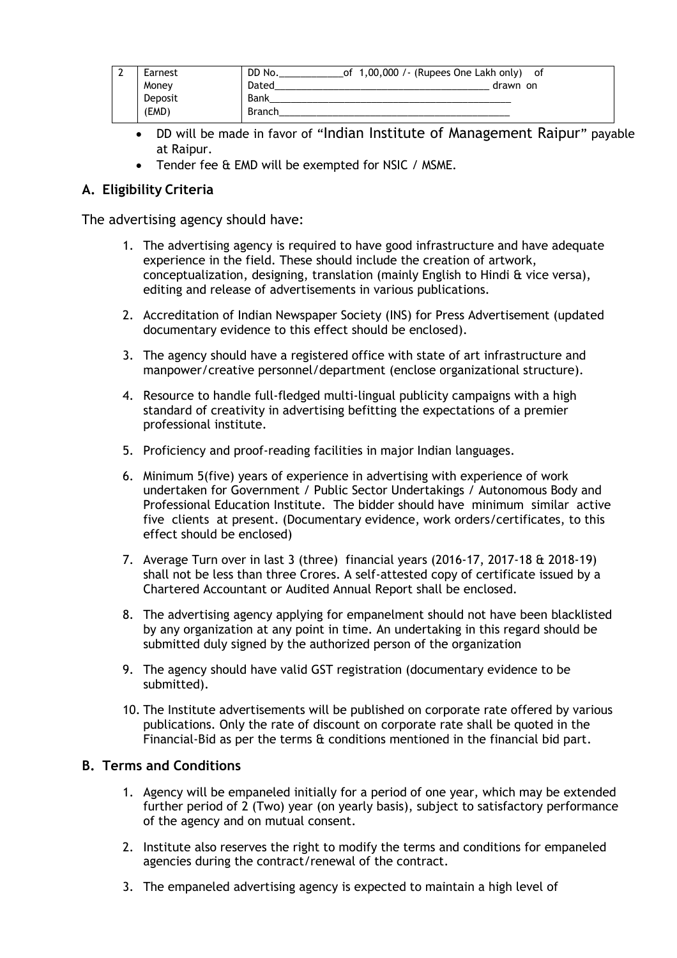| Earnest | DD No.<br>of $1,00,000$ /- (Rupees One Lakh only) of |          |
|---------|------------------------------------------------------|----------|
| Money   | Dated                                                | drawn on |
| Deposit | Bank                                                 |          |
| (EMD)   | <b>Branch</b>                                        |          |

- DD will be made in favor of "Indian Institute of Management Raipur" payable at Raipur.
- Tender fee & EMD will be exempted for NSIC / MSME.

## **A. Eligibility Criteria**

The advertising agency should have:

- 1. The advertising agency is required to have good infrastructure and have adequate experience in the field. These should include the creation of artwork, conceptualization, designing, translation (mainly English to Hindi & vice versa), editing and release of advertisements in various publications.
- 2. Accreditation of Indian Newspaper Society (INS) for Press Advertisement (updated documentary evidence to this effect should be enclosed).
- 3. The agency should have a registered office with state of art infrastructure and manpower/creative personnel/department (enclose organizational structure).
- 4. Resource to handle full-fledged multi-lingual publicity campaigns with a high standard of creativity in advertising befitting the expectations of a premier professional institute.
- 5. Proficiency and proof-reading facilities in major Indian languages.
- 6. Minimum 5(five) years of experience in advertising with experience of work undertaken for Government / Public Sector Undertakings / Autonomous Body and Professional Education Institute. The bidder should have minimum similar active five clients at present. (Documentary evidence, work orders/certificates, to this effect should be enclosed)
- 7. Average Turn over in last 3 (three) financial years (2016-17, 2017-18 & 2018-19) shall not be less than three Crores. A self-attested copy of certificate issued by a Chartered Accountant or Audited Annual Report shall be enclosed.
- 8. The advertising agency applying for empanelment should not have been blacklisted by any organization at any point in time. An undertaking in this regard should be submitted duly signed by the authorized person of the organization
- 9. The agency should have valid GST registration (documentary evidence to be submitted).
- 10. The Institute advertisements will be published on corporate rate offered by various publications. Only the rate of discount on corporate rate shall be quoted in the Financial-Bid as per the terms & conditions mentioned in the financial bid part.

## **B. Terms and Conditions**

- 1. Agency will be empaneled initially for a period of one year, which may be extended further period of 2 (Two) year (on yearly basis), subject to satisfactory performance of the agency and on mutual consent.
- 2. Institute also reserves the right to modify the terms and conditions for empaneled agencies during the contract/renewal of the contract.
- 3. The empaneled advertising agency is expected to maintain a high level of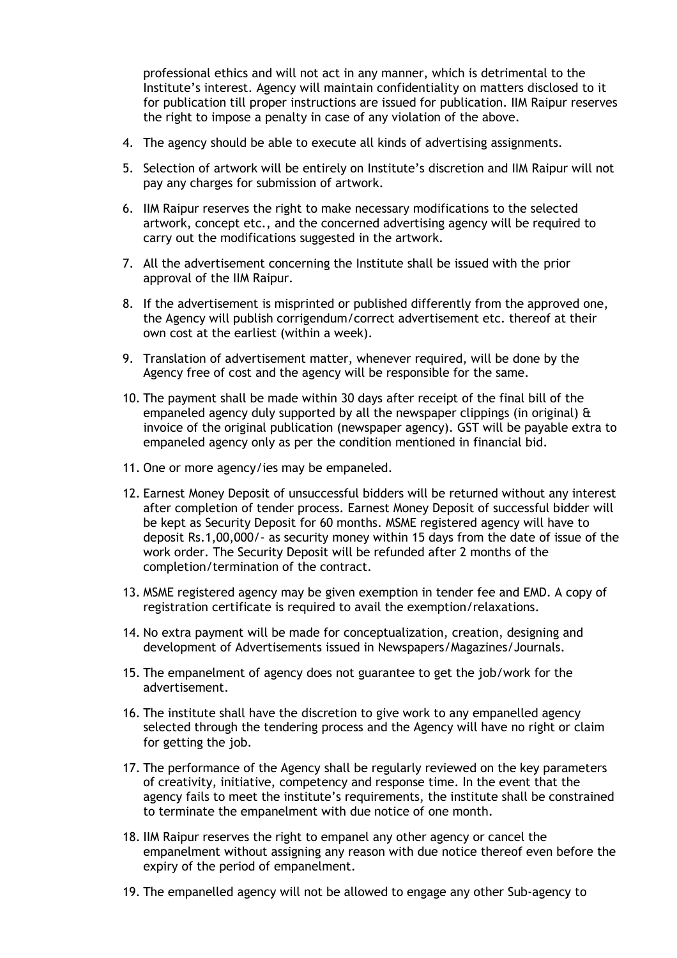professional ethics and will not act in any manner, which is detrimental to the Institute's interest. Agency will maintain confidentiality on matters disclosed to it for publication till proper instructions are issued for publication. IIM Raipur reserves the right to impose a penalty in case of any violation of the above.

- 4. The agency should be able to execute all kinds of advertising assignments.
- 5. Selection of artwork will be entirely on Institute's discretion and IIM Raipur will not pay any charges for submission of artwork.
- 6. IIM Raipur reserves the right to make necessary modifications to the selected artwork, concept etc., and the concerned advertising agency will be required to carry out the modifications suggested in the artwork.
- 7. All the advertisement concerning the Institute shall be issued with the prior approval of the IIM Raipur.
- 8. If the advertisement is misprinted or published differently from the approved one, the Agency will publish corrigendum/correct advertisement etc. thereof at their own cost at the earliest (within a week).
- 9. Translation of advertisement matter, whenever required, will be done by the Agency free of cost and the agency will be responsible for the same.
- 10. The payment shall be made within 30 days after receipt of the final bill of the empaneled agency duly supported by all the newspaper clippings (in original) & invoice of the original publication (newspaper agency). GST will be payable extra to empaneled agency only as per the condition mentioned in financial bid.
- 11. One or more agency/ies may be empaneled.
- 12. Earnest Money Deposit of unsuccessful bidders will be returned without any interest after completion of tender process. Earnest Money Deposit of successful bidder will be kept as Security Deposit for 60 months. MSME registered agency will have to deposit Rs.1,00,000/- as security money within 15 days from the date of issue of the work order. The Security Deposit will be refunded after 2 months of the completion/termination of the contract.
- 13. MSME registered agency may be given exemption in tender fee and EMD. A copy of registration certificate is required to avail the exemption/relaxations.
- 14. No extra payment will be made for conceptualization, creation, designing and development of Advertisements issued in Newspapers/Magazines/Journals.
- 15. The empanelment of agency does not guarantee to get the job/work for the advertisement.
- 16. The institute shall have the discretion to give work to any empanelled agency selected through the tendering process and the Agency will have no right or claim for getting the job.
- 17. The performance of the Agency shall be regularly reviewed on the key parameters of creativity, initiative, competency and response time. In the event that the agency fails to meet the institute's requirements, the institute shall be constrained to terminate the empanelment with due notice of one month.
- 18. IIM Raipur reserves the right to empanel any other agency or cancel the empanelment without assigning any reason with due notice thereof even before the expiry of the period of empanelment.
- 19. The empanelled agency will not be allowed to engage any other Sub-agency to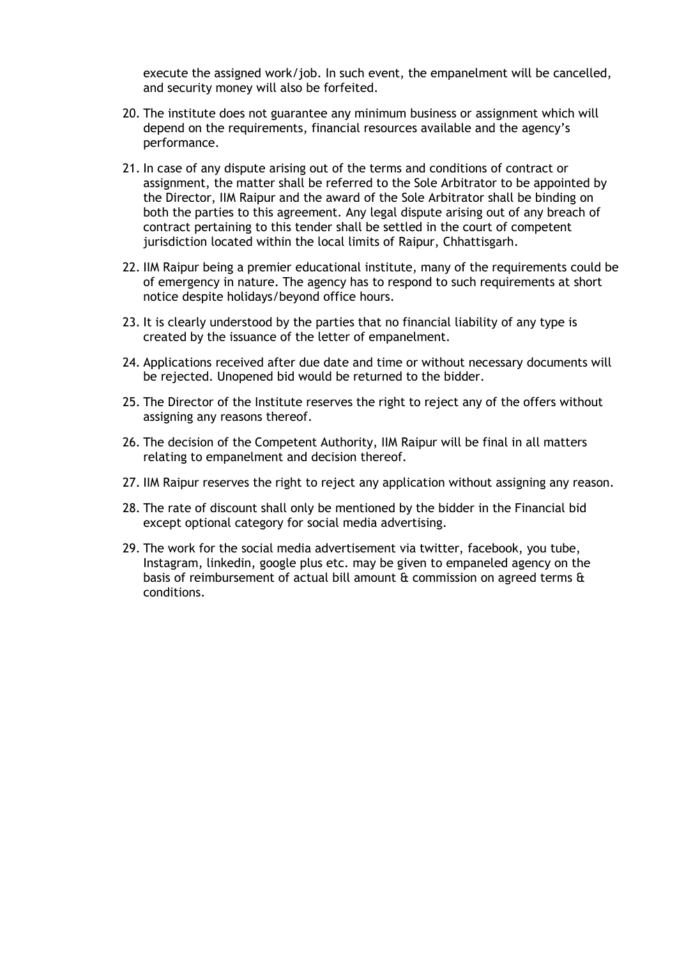execute the assigned work/job. In such event, the empanelment will be cancelled, and security money will also be forfeited.

- 20. The institute does not guarantee any minimum business or assignment which will depend on the requirements, financial resources available and the agency's performance.
- 21. In case of any dispute arising out of the terms and conditions of contract or assignment, the matter shall be referred to the Sole Arbitrator to be appointed by the Director, IIM Raipur and the award of the Sole Arbitrator shall be binding on both the parties to this agreement. Any legal dispute arising out of any breach of contract pertaining to this tender shall be settled in the court of competent jurisdiction located within the local limits of Raipur, Chhattisgarh.
- 22. IIM Raipur being a premier educational institute, many of the requirements could be of emergency in nature. The agency has to respond to such requirements at short notice despite holidays/beyond office hours.
- 23. It is clearly understood by the parties that no financial liability of any type is created by the issuance of the letter of empanelment.
- 24. Applications received after due date and time or without necessary documents will be rejected. Unopened bid would be returned to the bidder.
- 25. The Director of the Institute reserves the right to reject any of the offers without assigning any reasons thereof.
- 26. The decision of the Competent Authority, IIM Raipur will be final in all matters relating to empanelment and decision thereof.
- 27. IIM Raipur reserves the right to reject any application without assigning any reason.
- 28. The rate of discount shall only be mentioned by the bidder in the Financial bid except optional category for social media advertising.
- 29. The work for the social media advertisement via twitter, facebook, you tube, Instagram, linkedin, google plus etc. may be given to empaneled agency on the basis of reimbursement of actual bill amount & commission on agreed terms & conditions.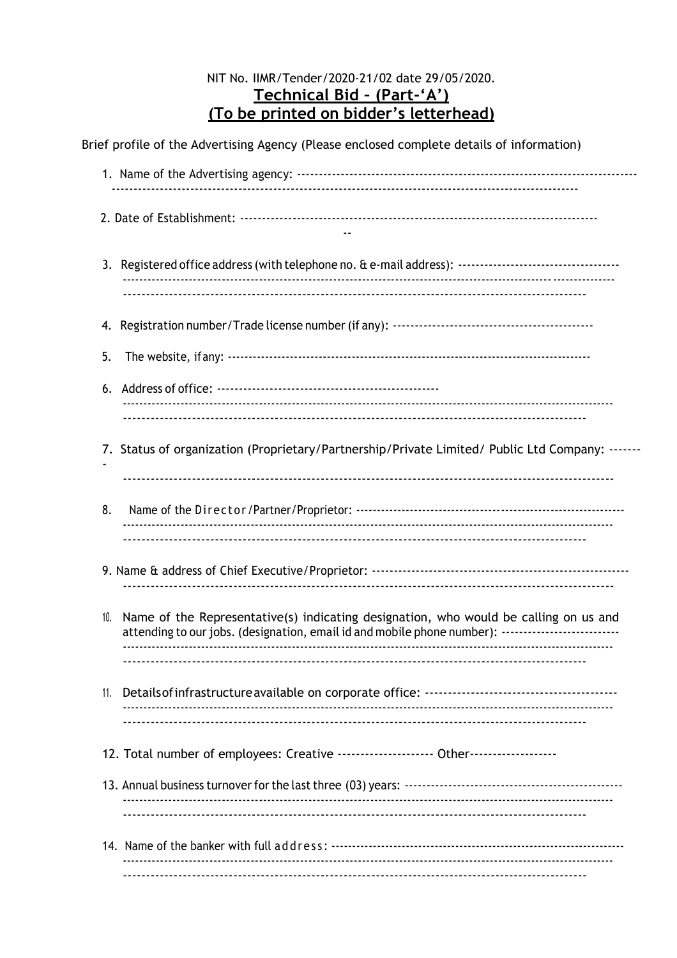## NIT No. IIMR/Tender/2020-21/02 date 29/05/2020. Technical Bid - (Part-'A') (To be printed on bidder's letterhead)

| Brief profile of the Advertising Agency (Please enclosed complete details of information)                                                                       |
|-----------------------------------------------------------------------------------------------------------------------------------------------------------------|
|                                                                                                                                                                 |
|                                                                                                                                                                 |
| 4. Registration number/Trade license number (if any): …………………………………………………                                                                                       |
|                                                                                                                                                                 |
|                                                                                                                                                                 |
| 7. Status of organization (Proprietary/Partnership/Private Limited/ Public Ltd Company: -------                                                                 |
|                                                                                                                                                                 |
|                                                                                                                                                                 |
| Name of the Representative(s) indicating designation, who would be calling on us and<br>attending to our jobs. (designation, email id and mobile phone number): |
|                                                                                                                                                                 |
| 12. Total number of employees: Creative --------------------- Other------------------                                                                           |
|                                                                                                                                                                 |
|                                                                                                                                                                 |
|                                                                                                                                                                 |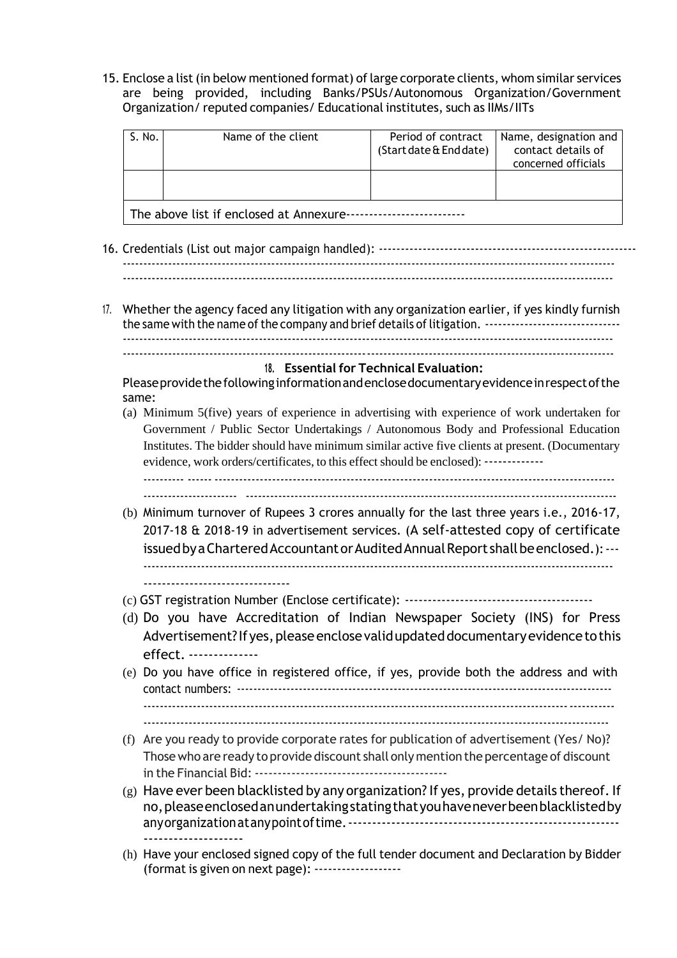15. Enclose a list(in below mentioned format) oflarge corporate clients, whom similar services are being provided, including Banks/PSUs/Autonomous Organization/Government Organization/ reputed companies/ Educational institutes, such as IIMs/IITs

| S. No.                                  | Name of the client | Period of contract<br>(Start date & End date) | Name, designation and<br>contact details of<br>concerned officials |  |  |  |
|-----------------------------------------|--------------------|-----------------------------------------------|--------------------------------------------------------------------|--|--|--|
|                                         |                    |                                               |                                                                    |  |  |  |
| The above list if enclosed at Annexure- |                    |                                               |                                                                    |  |  |  |

- 16. Credentials (List out major campaign handled): ----------------------------------------------------------- -----------------------------------------------------------------------------------------------------------------------
- 17. Whether the agency faced any litigation with any organization earlier, if yes kindly furnish the same with the name ofthe company and brief details of litigation. ------------------------------- -----------------------------------------------------------------------------------------------------------------------

#### **18. Essential for Technical Evaluation:**

Pleaseprovidethefollowinginformationandenclosedocumentaryevidenceinrespectofthe same:

(a) Minimum 5(five) years of experience in advertising with experience of work undertaken for Government / Public Sector Undertakings / Autonomous Body and Professional Education Institutes. The bidder should have minimum similar active five clients at present. (Documentary evidence, work orders/certificates, to this effect should be enclosed): -------------

---------- ------ ------------------------------------------------------------------------------------------------- ----------------------- -------------------------------------------------------------------------------------------

- (b) Minimum turnover of Rupees 3 crores annually for the last three years i.e., 2016-17, 2017-18 & 2018-19 in advertisement services. (A self-attested copy of certificate issued by a Chartered Accountant or Audited Annual Report shall be enclosed.): --------------------------------------------------------------------------------------------------------------------- --------------------------------
- (c) GST registration Number (Enclose certificate): -----------------------------------------
- (d) Do you have Accreditation of Indian Newspaper Society (INS) for Press Advertisement? If yes, please enclose valid updated documentary evidence to this effect. --------------
- (e) Do you have office in registered office, if yes, provide both the address and with contact numbers: ------------------------------------------------------------------------------------------- ------------------------------------------------------------------------------------------------------------------

 $-$ 

- (f) Are you ready to provide corporate rates for publication of advertisement (Yes/ No)? Thosewho are ready to provide discount shall only mention the percentage of discount in the Financial Bid: ------------------------------------------
- $(g)$  Have ever been blacklisted by any organization? If yes, provide details thereof. If no,pleaseenclosedanundertakingstatingthatyouhaveneverbeenblacklistedby anyorganizationatanypointoftime.--------------------------------------------------------- --------------------
- (h) Have your enclosed signed copy of the full tender document and Declaration by Bidder (format is given on next page): -------------------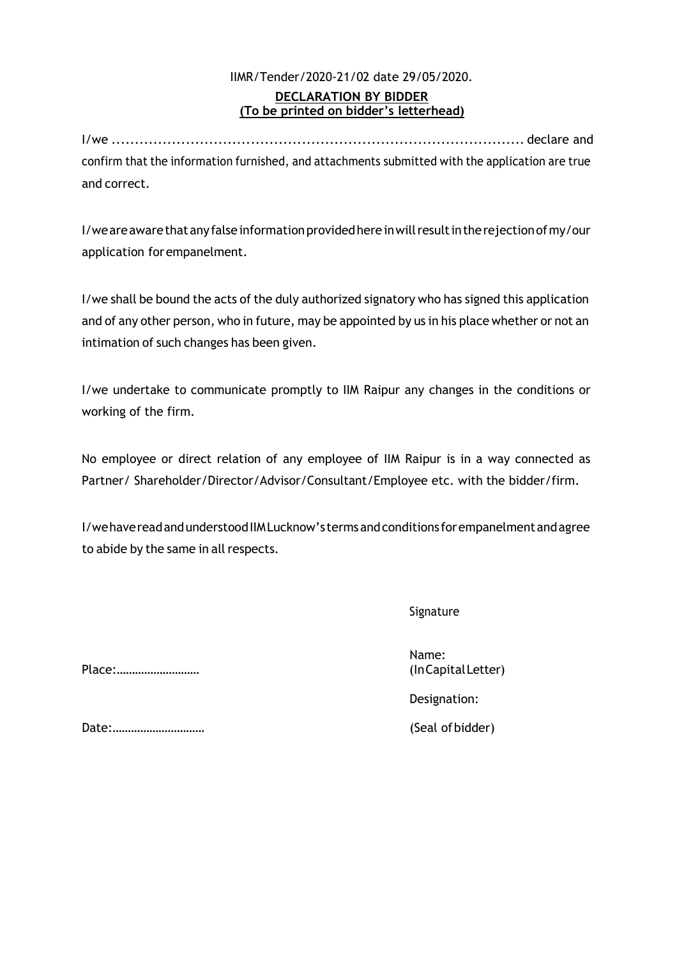## IIMR/Tender/2020-21/02 date 29/05/2020. **DECLARATION BY BIDDER (To be printed on bidder's letterhead)**

I/we ......................................................................................... declare and confirm that the information furnished, and attachments submitted with the application are true and correct.

I/we are aware that any false information provided here in will result in the rejection of my/our application forempanelment.

I/we shall be bound the acts of the duly authorized signatory who has signed this application and of any other person, who in future, may be appointed by us in his place whether or not an intimation of such changes has been given.

I/we undertake to communicate promptly to IIM Raipur any changes in the conditions or working of the firm.

No employee or direct relation of any employee of IIM Raipur is in a way connected as Partner/ Shareholder/Director/Advisor/Consultant/Employee etc. with the bidder/firm.

I/wehavereadandunderstoodIIMLucknow's termsandconditions forempanelmentandagree to abide by the same in all respects.

Signature

Place:……………………… (InCapitalLetter)

Name:

Designation:

Date:………………………… (Seal ofbidder)